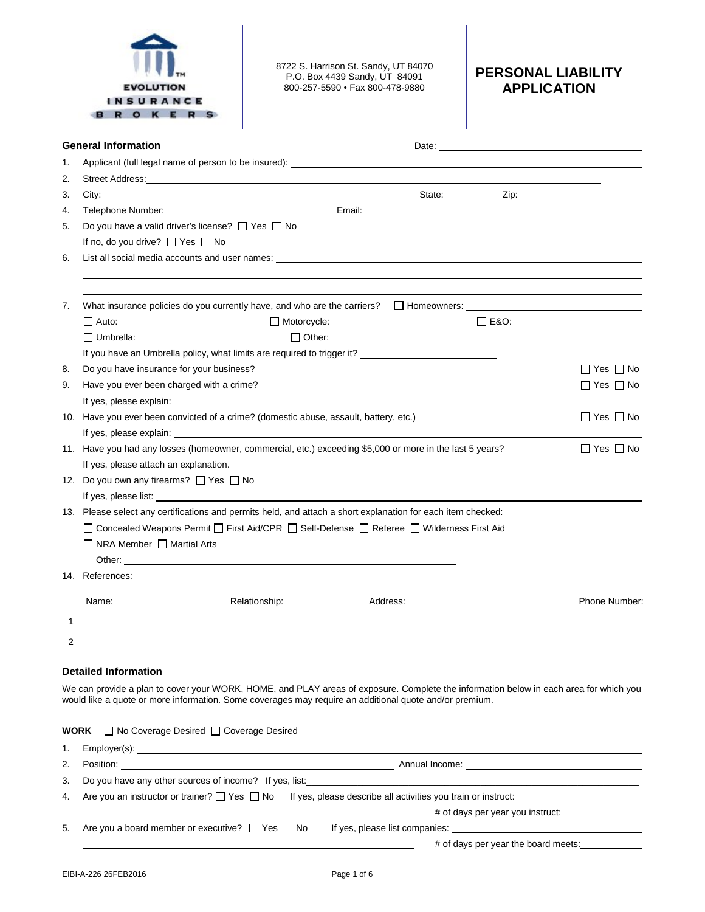

8722 S. Harrison St. Sandy, UT 84070 P.O. Box 4439 Sandy, UT 84091 800-257-5590 • Fax 800-478-9880

## **PERSONAL LIABILITY APPLICATION**

|    | <b>General Information</b>                                                                                   |                                                                                                                                                                                                                                | Date: <u>Date:</u> 2004                                                                                        |                      |  |  |  |
|----|--------------------------------------------------------------------------------------------------------------|--------------------------------------------------------------------------------------------------------------------------------------------------------------------------------------------------------------------------------|----------------------------------------------------------------------------------------------------------------|----------------------|--|--|--|
| 1. |                                                                                                              |                                                                                                                                                                                                                                |                                                                                                                |                      |  |  |  |
| 2. |                                                                                                              |                                                                                                                                                                                                                                |                                                                                                                |                      |  |  |  |
| 3. |                                                                                                              |                                                                                                                                                                                                                                |                                                                                                                |                      |  |  |  |
| 4. |                                                                                                              |                                                                                                                                                                                                                                |                                                                                                                |                      |  |  |  |
| 5. | Do you have a valid driver's license? □ Yes □ No                                                             |                                                                                                                                                                                                                                |                                                                                                                |                      |  |  |  |
|    | If no, do you drive? $\Box$ Yes $\Box$ No                                                                    |                                                                                                                                                                                                                                |                                                                                                                |                      |  |  |  |
| 6. |                                                                                                              |                                                                                                                                                                                                                                | List all social media accounts and user names: List of the state of the state of the state of the state of the |                      |  |  |  |
| 7. |                                                                                                              | What insurance policies do you currently have, and who are the carriers? $\Box$ Homeowners:                                                                                                                                    |                                                                                                                |                      |  |  |  |
|    |                                                                                                              |                                                                                                                                                                                                                                | □ Auto: _________________________  □ Motorcycle: ________________________  □ E&O: _______________________      |                      |  |  |  |
|    |                                                                                                              |                                                                                                                                                                                                                                |                                                                                                                |                      |  |  |  |
|    | If you have an Umbrella policy, what limits are required to trigger it? ___________________________          |                                                                                                                                                                                                                                |                                                                                                                |                      |  |  |  |
| 8. | Do you have insurance for your business?                                                                     |                                                                                                                                                                                                                                |                                                                                                                | $\Box$ Yes $\Box$ No |  |  |  |
| 9. | Have you ever been charged with a crime?                                                                     |                                                                                                                                                                                                                                |                                                                                                                | $\Box$ Yes $\Box$ No |  |  |  |
|    |                                                                                                              | If yes, please explain: The state of the state of the state of the state of the state of the state of the state of the state of the state of the state of the state of the state of the state of the state of the state of the |                                                                                                                |                      |  |  |  |
|    |                                                                                                              | 10. Have you ever been convicted of a crime? (domestic abuse, assault, battery, etc.)                                                                                                                                          |                                                                                                                | $\Box$ Yes $\Box$ No |  |  |  |
|    |                                                                                                              |                                                                                                                                                                                                                                |                                                                                                                |                      |  |  |  |
|    | 11. Have you had any losses (homeowner, commercial, etc.) exceeding \$5,000 or more in the last 5 years?     |                                                                                                                                                                                                                                |                                                                                                                |                      |  |  |  |
|    | If yes, please attach an explanation.                                                                        |                                                                                                                                                                                                                                |                                                                                                                |                      |  |  |  |
|    | 12. Do you own any firearms? □ Yes □ No                                                                      |                                                                                                                                                                                                                                |                                                                                                                |                      |  |  |  |
|    |                                                                                                              |                                                                                                                                                                                                                                |                                                                                                                |                      |  |  |  |
|    | 13. Please select any certifications and permits held, and attach a short explanation for each item checked: |                                                                                                                                                                                                                                |                                                                                                                |                      |  |  |  |
|    | □ Concealed Weapons Permit □ First Aid/CPR □ Self-Defense □ Referee □ Wilderness First Aid                   |                                                                                                                                                                                                                                |                                                                                                                |                      |  |  |  |
|    | □ NRA Member □ Martial Arts                                                                                  |                                                                                                                                                                                                                                |                                                                                                                |                      |  |  |  |
|    |                                                                                                              | $\Box$ Other: $\Box$                                                                                                                                                                                                           |                                                                                                                |                      |  |  |  |
|    | 14. References:                                                                                              |                                                                                                                                                                                                                                |                                                                                                                |                      |  |  |  |
|    | Name:                                                                                                        | Relationship:                                                                                                                                                                                                                  | Address:                                                                                                       | Phone Number:        |  |  |  |
|    |                                                                                                              |                                                                                                                                                                                                                                |                                                                                                                |                      |  |  |  |
| 2  |                                                                                                              |                                                                                                                                                                                                                                |                                                                                                                |                      |  |  |  |

## **Detailed Information**

We can provide a plan to cover your WORK, HOME, and PLAY areas of exposure. Complete the information below in each area for which you would like a quote or more information. Some coverages may require an additional quote and/or premium.

| WORK | $\Box$ No Coverage Desired $\Box$ Coverage Desired |  |
|------|----------------------------------------------------|--|
|------|----------------------------------------------------|--|

| 1. |                                                                                                                                                                                                                                |
|----|--------------------------------------------------------------------------------------------------------------------------------------------------------------------------------------------------------------------------------|
| 2. |                                                                                                                                                                                                                                |
| 3. | Do you have any other sources of income? If yes, list: North and the state of the state of the state of the state of the state of the state of the state of the state of the state of the state of the state of the state of t |
|    | 4. Are you an instructor or trainer? $\Box$ Yes $\Box$ No If yes, please describe all activities you train or instruct:                                                                                                        |
|    | # of days per year you instruct:                                                                                                                                                                                               |
|    | 5. Are you a board member or executive? $\Box$ Yes $\Box$ No                                                                                                                                                                   |
|    | # of days per year the board meets:                                                                                                                                                                                            |
|    |                                                                                                                                                                                                                                |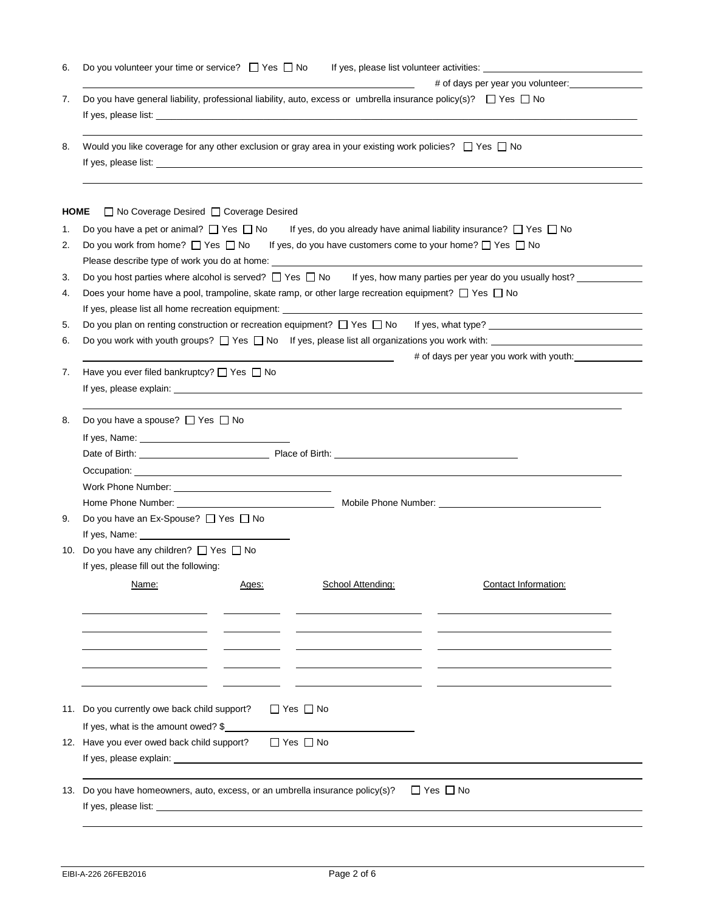| # of days per year you volunteer:<br>Do you have general liability, professional liability, auto, excess or umbrella insurance policy(s)? $\Box$ Yes $\Box$ No<br>Would you like coverage for any other exclusion or gray area in your existing work policies? $\Box$ Yes $\Box$ No<br>If yes, do you already have animal liability insurance? $\Box$ Yes $\Box$ No<br>Do you work from home? $\Box$ Yes $\Box$ No If yes, do you have customers come to your home? $\Box$ Yes $\Box$ No |
|------------------------------------------------------------------------------------------------------------------------------------------------------------------------------------------------------------------------------------------------------------------------------------------------------------------------------------------------------------------------------------------------------------------------------------------------------------------------------------------|
|                                                                                                                                                                                                                                                                                                                                                                                                                                                                                          |
|                                                                                                                                                                                                                                                                                                                                                                                                                                                                                          |
|                                                                                                                                                                                                                                                                                                                                                                                                                                                                                          |
|                                                                                                                                                                                                                                                                                                                                                                                                                                                                                          |
|                                                                                                                                                                                                                                                                                                                                                                                                                                                                                          |
|                                                                                                                                                                                                                                                                                                                                                                                                                                                                                          |
|                                                                                                                                                                                                                                                                                                                                                                                                                                                                                          |
|                                                                                                                                                                                                                                                                                                                                                                                                                                                                                          |
|                                                                                                                                                                                                                                                                                                                                                                                                                                                                                          |
| Please describe type of work you do at home: ___________________________________                                                                                                                                                                                                                                                                                                                                                                                                         |
| Do you host parties where alcohol is served? $\Box$ Yes $\Box$ No If yes, how many parties per year do you usually host?                                                                                                                                                                                                                                                                                                                                                                 |
| Does your home have a pool, trampoline, skate ramp, or other large recreation equipment? □ Yes □ No                                                                                                                                                                                                                                                                                                                                                                                      |
|                                                                                                                                                                                                                                                                                                                                                                                                                                                                                          |
| Do you plan on renting construction or recreation equipment? $\Box$ Yes $\Box$ No If yes, what type?                                                                                                                                                                                                                                                                                                                                                                                     |
| Do you work with youth groups? $\Box$ Yes $\Box$ No If yes, please list all organizations you work with:                                                                                                                                                                                                                                                                                                                                                                                 |
| # of days per year you work with youth:                                                                                                                                                                                                                                                                                                                                                                                                                                                  |
|                                                                                                                                                                                                                                                                                                                                                                                                                                                                                          |
|                                                                                                                                                                                                                                                                                                                                                                                                                                                                                          |
|                                                                                                                                                                                                                                                                                                                                                                                                                                                                                          |
|                                                                                                                                                                                                                                                                                                                                                                                                                                                                                          |
|                                                                                                                                                                                                                                                                                                                                                                                                                                                                                          |
|                                                                                                                                                                                                                                                                                                                                                                                                                                                                                          |
|                                                                                                                                                                                                                                                                                                                                                                                                                                                                                          |
|                                                                                                                                                                                                                                                                                                                                                                                                                                                                                          |
|                                                                                                                                                                                                                                                                                                                                                                                                                                                                                          |
|                                                                                                                                                                                                                                                                                                                                                                                                                                                                                          |
|                                                                                                                                                                                                                                                                                                                                                                                                                                                                                          |
|                                                                                                                                                                                                                                                                                                                                                                                                                                                                                          |
| Contact Information:                                                                                                                                                                                                                                                                                                                                                                                                                                                                     |
|                                                                                                                                                                                                                                                                                                                                                                                                                                                                                          |
|                                                                                                                                                                                                                                                                                                                                                                                                                                                                                          |
|                                                                                                                                                                                                                                                                                                                                                                                                                                                                                          |
|                                                                                                                                                                                                                                                                                                                                                                                                                                                                                          |
|                                                                                                                                                                                                                                                                                                                                                                                                                                                                                          |
|                                                                                                                                                                                                                                                                                                                                                                                                                                                                                          |
|                                                                                                                                                                                                                                                                                                                                                                                                                                                                                          |
|                                                                                                                                                                                                                                                                                                                                                                                                                                                                                          |
|                                                                                                                                                                                                                                                                                                                                                                                                                                                                                          |
|                                                                                                                                                                                                                                                                                                                                                                                                                                                                                          |
|                                                                                                                                                                                                                                                                                                                                                                                                                                                                                          |
|                                                                                                                                                                                                                                                                                                                                                                                                                                                                                          |
|                                                                                                                                                                                                                                                                                                                                                                                                                                                                                          |
|                                                                                                                                                                                                                                                                                                                                                                                                                                                                                          |
|                                                                                                                                                                                                                                                                                                                                                                                                                                                                                          |
|                                                                                                                                                                                                                                                                                                                                                                                                                                                                                          |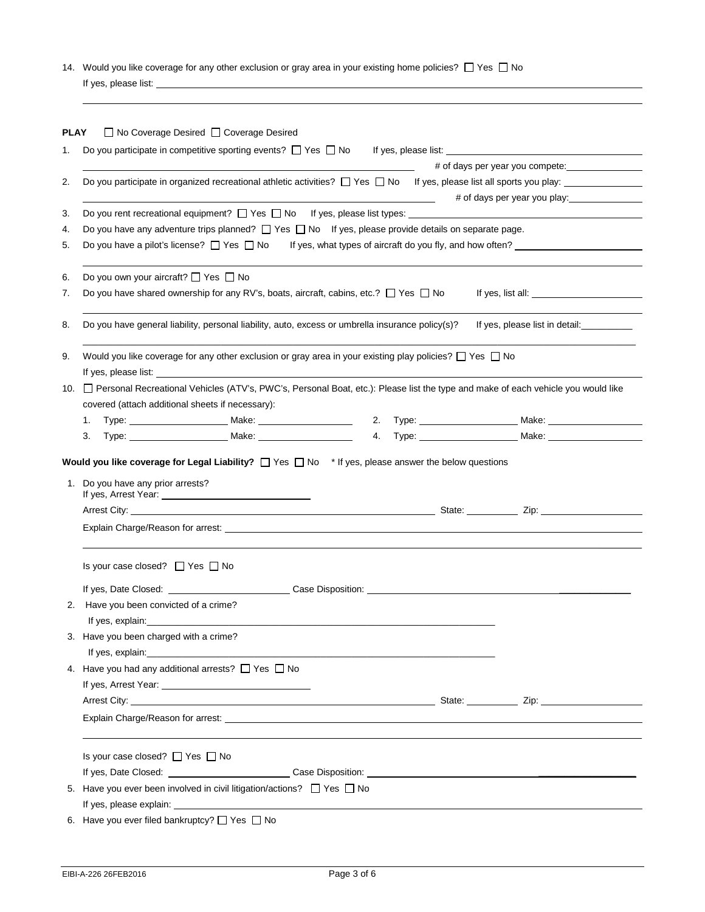14. Would you like coverage for any other exclusion or gray area in your existing home policies?  $\Box$  Yes  $\Box$  No If yes, please list:

| PLAY<br>1. |                                                  | □ No Coverage Desired □ Coverage Desired                                                                                                                                                                                       |  |  |                                                                                                                                    |
|------------|--------------------------------------------------|--------------------------------------------------------------------------------------------------------------------------------------------------------------------------------------------------------------------------------|--|--|------------------------------------------------------------------------------------------------------------------------------------|
|            |                                                  | Do you participate in competitive sporting events? $\Box$ Yes $\Box$ No                                                                                                                                                        |  |  |                                                                                                                                    |
|            |                                                  |                                                                                                                                                                                                                                |  |  |                                                                                                                                    |
|            |                                                  |                                                                                                                                                                                                                                |  |  | Do you participate in organized recreational athletic activities? $\Box$ Yes $\Box$ No If yes, please list all sports you play:    |
| 3.         |                                                  |                                                                                                                                                                                                                                |  |  |                                                                                                                                    |
|            |                                                  |                                                                                                                                                                                                                                |  |  |                                                                                                                                    |
|            |                                                  | Do you have any adventure trips planned? $\Box$ Yes $\Box$ No If yes, please provide details on separate page.                                                                                                                 |  |  |                                                                                                                                    |
|            |                                                  |                                                                                                                                                                                                                                |  |  | Do you have a pilot's license? $\Box$ Yes $\Box$ No If yes, what types of aircraft do you fly, and how often?                      |
|            | Do you own your aircraft? □ Yes □ No             |                                                                                                                                                                                                                                |  |  |                                                                                                                                    |
|            |                                                  | Do you have shared ownership for any RV's, boats, aircraft, cabins, etc.? $\Box$ Yes $\Box$ No                                                                                                                                 |  |  |                                                                                                                                    |
|            |                                                  | Do you have general liability, personal liability, auto, excess or umbrella insurance policy(s)?                                                                                                                               |  |  | If yes, please list in detail:___________                                                                                          |
|            |                                                  | Would you like coverage for any other exclusion or gray area in your existing play policies? $\Box$ Yes $\Box$ No                                                                                                              |  |  |                                                                                                                                    |
|            |                                                  | If yes, please list: The same state of the state of the state of the state of the state of the state of the state of the state of the state of the state of the state of the state of the state of the state of the state of t |  |  |                                                                                                                                    |
| 10.        |                                                  |                                                                                                                                                                                                                                |  |  | □ Personal Recreational Vehicles (ATV's, PWC's, Personal Boat, etc.): Please list the type and make of each vehicle you would like |
|            | covered (attach additional sheets if necessary): |                                                                                                                                                                                                                                |  |  |                                                                                                                                    |
| 1.         |                                                  |                                                                                                                                                                                                                                |  |  |                                                                                                                                    |
| 3.         |                                                  |                                                                                                                                                                                                                                |  |  |                                                                                                                                    |
|            |                                                  |                                                                                                                                                                                                                                |  |  |                                                                                                                                    |
|            |                                                  |                                                                                                                                                                                                                                |  |  |                                                                                                                                    |
|            | Is your case closed? $\Box$ Yes $\Box$ No        |                                                                                                                                                                                                                                |  |  |                                                                                                                                    |
|            |                                                  | If yes, Date Closed: Case Disposition: Case Disposition:                                                                                                                                                                       |  |  |                                                                                                                                    |
|            | 2. Have you been convicted of a crime?           |                                                                                                                                                                                                                                |  |  |                                                                                                                                    |
|            |                                                  |                                                                                                                                                                                                                                |  |  |                                                                                                                                    |
|            | 3. Have you been charged with a crime?           |                                                                                                                                                                                                                                |  |  |                                                                                                                                    |
|            |                                                  | If yes, explain: The state of the state of the state of the state of the state of the state of the state of the state of the state of the state of the state of the state of the state of the state of the state of the state  |  |  |                                                                                                                                    |
|            |                                                  | 4. Have you had any additional arrests? $\Box$ Yes $\Box$ No                                                                                                                                                                   |  |  |                                                                                                                                    |
|            |                                                  |                                                                                                                                                                                                                                |  |  |                                                                                                                                    |
|            |                                                  |                                                                                                                                                                                                                                |  |  |                                                                                                                                    |
|            |                                                  | Explain Charge/Reason for arrest: North American Charges and Charges and Charges and Charges and Charges and Charges and Charges and Charges and Charges and Charges and Charges and Charges and Charges and Charges and Charg |  |  |                                                                                                                                    |
|            | Is your case closed? □ Yes □ No                  |                                                                                                                                                                                                                                |  |  |                                                                                                                                    |
|            |                                                  |                                                                                                                                                                                                                                |  |  |                                                                                                                                    |
|            |                                                  | 5. Have you ever been involved in civil litigation/actions? $\Box$ Yes $\Box$ No                                                                                                                                               |  |  |                                                                                                                                    |
|            |                                                  |                                                                                                                                                                                                                                |  |  |                                                                                                                                    |
|            |                                                  |                                                                                                                                                                                                                                |  |  |                                                                                                                                    |
|            | 6. Have you ever filed bankruptcy? □ Yes □ No    |                                                                                                                                                                                                                                |  |  |                                                                                                                                    |

l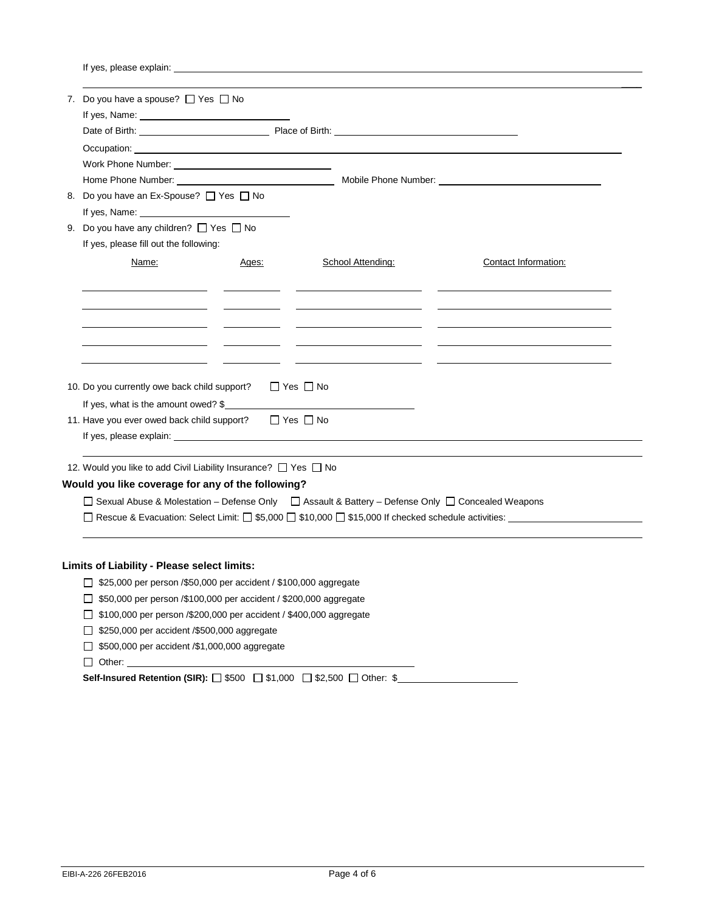If yes, please explain:

| 7. Do you have a spouse? □ Yes □ No                                                                                                                                                                                                  |       |                      |                                                                                                      |  |  |  |
|--------------------------------------------------------------------------------------------------------------------------------------------------------------------------------------------------------------------------------------|-------|----------------------|------------------------------------------------------------------------------------------------------|--|--|--|
|                                                                                                                                                                                                                                      |       |                      |                                                                                                      |  |  |  |
|                                                                                                                                                                                                                                      |       |                      |                                                                                                      |  |  |  |
| Occupation: <u>contract the contract of the contract of the contract of the contract of the contract of the contract of the contract of the contract of the contract of the contract of the contract of the contract of the cont</u> |       |                      |                                                                                                      |  |  |  |
| Work Phone Number: View Management Control of the Management Control of the Management Control of the Management Control of the Management Control of the Management Control of the Management Control of the Management Contr       |       |                      |                                                                                                      |  |  |  |
|                                                                                                                                                                                                                                      |       |                      |                                                                                                      |  |  |  |
| 8. Do you have an Ex-Spouse? □ Yes □ No                                                                                                                                                                                              |       |                      |                                                                                                      |  |  |  |
|                                                                                                                                                                                                                                      |       |                      |                                                                                                      |  |  |  |
| 9. Do you have any children? $\Box$ Yes $\Box$ No                                                                                                                                                                                    |       |                      |                                                                                                      |  |  |  |
| If yes, please fill out the following:                                                                                                                                                                                               |       |                      |                                                                                                      |  |  |  |
| Name:                                                                                                                                                                                                                                | Ages: | School Attending:    | Contact Information:                                                                                 |  |  |  |
|                                                                                                                                                                                                                                      |       |                      |                                                                                                      |  |  |  |
|                                                                                                                                                                                                                                      |       |                      |                                                                                                      |  |  |  |
|                                                                                                                                                                                                                                      |       |                      |                                                                                                      |  |  |  |
|                                                                                                                                                                                                                                      |       |                      |                                                                                                      |  |  |  |
|                                                                                                                                                                                                                                      |       |                      |                                                                                                      |  |  |  |
|                                                                                                                                                                                                                                      |       |                      |                                                                                                      |  |  |  |
|                                                                                                                                                                                                                                      |       |                      |                                                                                                      |  |  |  |
| 10. Do you currently owe back child support?                                                                                                                                                                                         |       | $\Box$ Yes $\Box$ No |                                                                                                      |  |  |  |
| If yes, what is the amount owed? $\frac{1}{2}$                                                                                                                                                                                       |       |                      |                                                                                                      |  |  |  |
| 11. Have you ever owed back child support? □ Yes □ No                                                                                                                                                                                |       |                      |                                                                                                      |  |  |  |
|                                                                                                                                                                                                                                      |       |                      |                                                                                                      |  |  |  |
|                                                                                                                                                                                                                                      |       |                      |                                                                                                      |  |  |  |
| 12. Would you like to add Civil Liability Insurance? □ Yes □ No                                                                                                                                                                      |       |                      |                                                                                                      |  |  |  |
| Would you like coverage for any of the following?                                                                                                                                                                                    |       |                      |                                                                                                      |  |  |  |
| □ Sexual Abuse & Molestation - Defense Only □ Assault & Battery - Defense Only □ Concealed Weapons                                                                                                                                   |       |                      |                                                                                                      |  |  |  |
|                                                                                                                                                                                                                                      |       |                      | □ Rescue & Evacuation: Select Limit: □ \$5,000 □ \$10,000 □ \$15,000 If checked schedule activities: |  |  |  |
|                                                                                                                                                                                                                                      |       |                      |                                                                                                      |  |  |  |
|                                                                                                                                                                                                                                      |       |                      |                                                                                                      |  |  |  |
|                                                                                                                                                                                                                                      |       |                      |                                                                                                      |  |  |  |
| Limits of Liability - Please select limits:                                                                                                                                                                                          |       |                      |                                                                                                      |  |  |  |
| □ \$25,000 per person / \$50,000 per accident / \$100,000 aggregate                                                                                                                                                                  |       |                      |                                                                                                      |  |  |  |

- \$100,000 per person /\$200,000 per accident / \$400,000 aggregate
- □ \$250,000 per accident /\$500,000 aggregate
- 5500,000 per accident /\$1,000,000 aggregate

Other:

**Self-Insured Retention (SIR):** □ \$500 □ \$1,000 □ \$2,500 □ Other: \$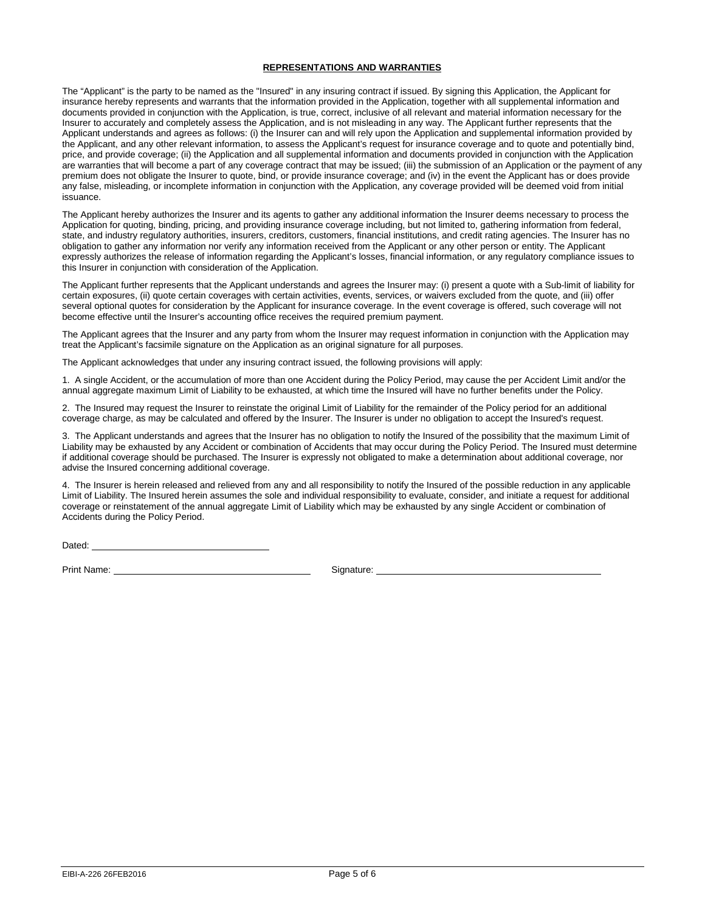## **REPRESENTATIONS AND WARRANTIES**

The "Applicant" is the party to be named as the "Insured" in any insuring contract if issued. By signing this Application, the Applicant for insurance hereby represents and warrants that the information provided in the Application, together with all supplemental information and documents provided in conjunction with the Application, is true, correct, inclusive of all relevant and material information necessary for the Insurer to accurately and completely assess the Application, and is not misleading in any way. The Applicant further represents that the Applicant understands and agrees as follows: (i) the Insurer can and will rely upon the Application and supplemental information provided by the Applicant, and any other relevant information, to assess the Applicant's request for insurance coverage and to quote and potentially bind, price, and provide coverage; (ii) the Application and all supplemental information and documents provided in conjunction with the Application are warranties that will become a part of any coverage contract that may be issued; (iii) the submission of an Application or the payment of any premium does not obligate the Insurer to quote, bind, or provide insurance coverage; and (iv) in the event the Applicant has or does provide any false, misleading, or incomplete information in conjunction with the Application, any coverage provided will be deemed void from initial issuance.

The Applicant hereby authorizes the Insurer and its agents to gather any additional information the Insurer deems necessary to process the Application for quoting, binding, pricing, and providing insurance coverage including, but not limited to, gathering information from federal, state, and industry regulatory authorities, insurers, creditors, customers, financial institutions, and credit rating agencies. The Insurer has no obligation to gather any information nor verify any information received from the Applicant or any other person or entity. The Applicant expressly authorizes the release of information regarding the Applicant's losses, financial information, or any regulatory compliance issues to this Insurer in conjunction with consideration of the Application.

The Applicant further represents that the Applicant understands and agrees the Insurer may: (i) present a quote with a Sub-limit of liability for certain exposures, (ii) quote certain coverages with certain activities, events, services, or waivers excluded from the quote, and (iii) offer several optional quotes for consideration by the Applicant for insurance coverage. In the event coverage is offered, such coverage will not become effective until the Insurer's accounting office receives the required premium payment.

The Applicant agrees that the Insurer and any party from whom the Insurer may request information in conjunction with the Application may treat the Applicant's facsimile signature on the Application as an original signature for all purposes.

The Applicant acknowledges that under any insuring contract issued, the following provisions will apply:

1. A single Accident, or the accumulation of more than one Accident during the Policy Period, may cause the per Accident Limit and/or the annual aggregate maximum Limit of Liability to be exhausted, at which time the Insured will have no further benefits under the Policy.

2. The Insured may request the Insurer to reinstate the original Limit of Liability for the remainder of the Policy period for an additional coverage charge, as may be calculated and offered by the Insurer. The Insurer is under no obligation to accept the Insured's request.

3. The Applicant understands and agrees that the Insurer has no obligation to notify the Insured of the possibility that the maximum Limit of Liability may be exhausted by any Accident or combination of Accidents that may occur during the Policy Period. The Insured must determine if additional coverage should be purchased. The Insurer is expressly not obligated to make a determination about additional coverage, nor advise the Insured concerning additional coverage.

4. The Insurer is herein released and relieved from any and all responsibility to notify the Insured of the possible reduction in any applicable Limit of Liability. The Insured herein assumes the sole and individual responsibility to evaluate, consider, and initiate a request for additional coverage or reinstatement of the annual aggregate Limit of Liability which may be exhausted by any single Accident or combination of Accidents during the Policy Period.

Dated:

Print Name: <u>Contract of Contract Contract Contract Contract Contract Contract Contract Contract Contract Contract Contract Contract Contract Contract Contract Contract Contract Contract Contract Contract Contract Contract</u>